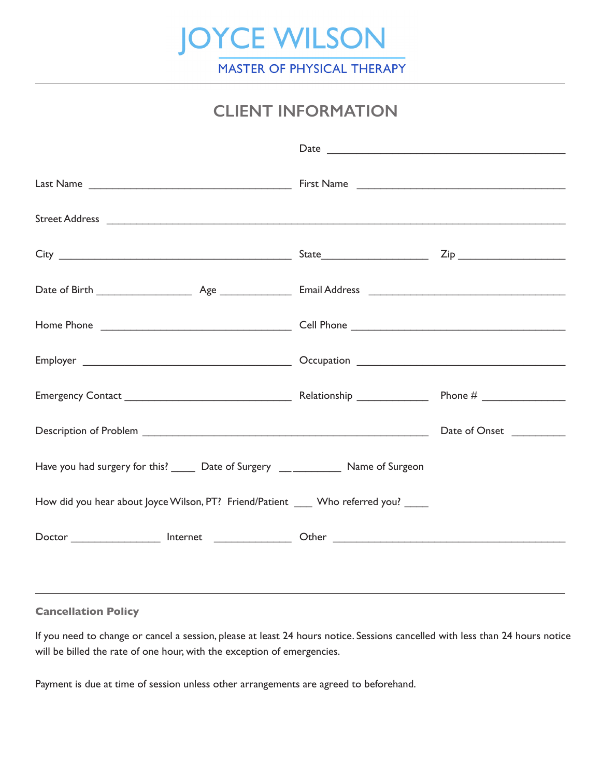

## **CLIENT INFORMATION**

|                                                                                      | Date research and the second contract of the second contract of the second contract of the second contract of the second contract of the second contract of the second contract of the second contract of the second contract |  |
|--------------------------------------------------------------------------------------|-------------------------------------------------------------------------------------------------------------------------------------------------------------------------------------------------------------------------------|--|
|                                                                                      |                                                                                                                                                                                                                               |  |
|                                                                                      |                                                                                                                                                                                                                               |  |
|                                                                                      |                                                                                                                                                                                                                               |  |
|                                                                                      |                                                                                                                                                                                                                               |  |
|                                                                                      |                                                                                                                                                                                                                               |  |
|                                                                                      |                                                                                                                                                                                                                               |  |
|                                                                                      |                                                                                                                                                                                                                               |  |
|                                                                                      |                                                                                                                                                                                                                               |  |
| Have you had surgery for this? ______ Date of Surgery ______________ Name of Surgeon |                                                                                                                                                                                                                               |  |
| How did you hear about Joyce Wilson, PT? Friend/Patient ____ Who referred you? ____  |                                                                                                                                                                                                                               |  |
|                                                                                      |                                                                                                                                                                                                                               |  |
|                                                                                      |                                                                                                                                                                                                                               |  |

#### **Cancellation Policy**

If you need to change or cancel a session, please at least 24 hours notice. Sessions cancelled with less than 24 hours notice will be billed the rate of one hour, with the exception of emergencies.

Payment is due at time of session unless other arrangements are agreed to beforehand.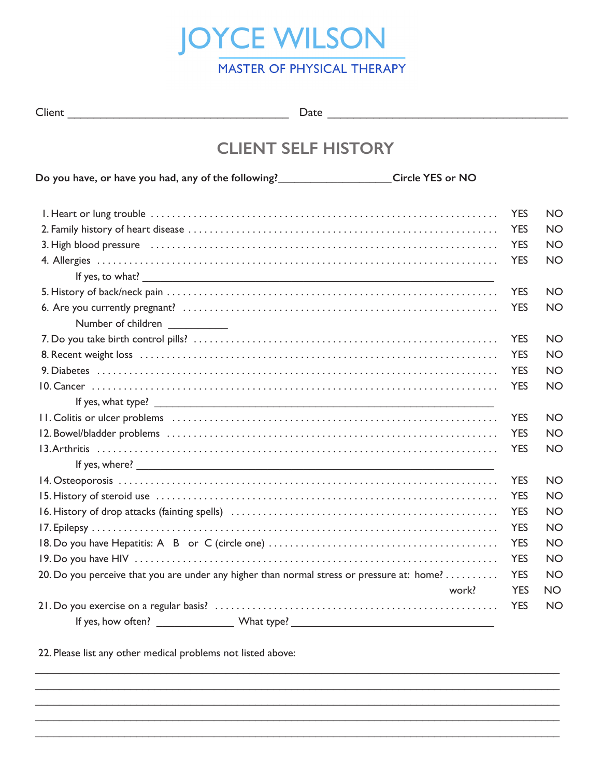

| ×<br>٧<br>v |
|-------------|
|-------------|

Client \_\_\_\_\_\_\_\_\_\_\_\_\_\_\_\_\_\_\_\_\_\_\_\_\_\_\_\_\_\_\_\_\_\_ Date \_\_\_\_\_\_\_\_\_\_\_\_\_\_\_\_\_\_\_\_\_\_\_\_\_\_\_\_\_\_\_\_\_\_\_\_\_

# **CLIENT SELF HISTORY**

| Do you have, or have you had, any of the following?_______________________Circle YES or NO                                                                                                                                     |            |           |
|--------------------------------------------------------------------------------------------------------------------------------------------------------------------------------------------------------------------------------|------------|-----------|
|                                                                                                                                                                                                                                | <b>YES</b> | <b>NO</b> |
|                                                                                                                                                                                                                                | <b>YES</b> | <b>NO</b> |
| 3. High blood pressure educational contracts and contact the contract of the contract of the state of the state of the state of the state of the state of the state of the state of the state of the state of the state of the | <b>YES</b> | <b>NO</b> |
|                                                                                                                                                                                                                                | <b>YES</b> | <b>NO</b> |
|                                                                                                                                                                                                                                |            |           |
|                                                                                                                                                                                                                                | <b>YES</b> | <b>NO</b> |
|                                                                                                                                                                                                                                | <b>YES</b> | <b>NO</b> |
| Number of children ___________                                                                                                                                                                                                 |            |           |
|                                                                                                                                                                                                                                | <b>YES</b> | <b>NO</b> |
|                                                                                                                                                                                                                                | <b>YES</b> | <b>NO</b> |
|                                                                                                                                                                                                                                | <b>YES</b> | <b>NO</b> |
|                                                                                                                                                                                                                                | <b>YES</b> | <b>NO</b> |
|                                                                                                                                                                                                                                |            |           |
|                                                                                                                                                                                                                                | <b>YES</b> | <b>NO</b> |
|                                                                                                                                                                                                                                | <b>YES</b> | <b>NO</b> |
|                                                                                                                                                                                                                                | <b>YES</b> | <b>NO</b> |
|                                                                                                                                                                                                                                |            |           |
|                                                                                                                                                                                                                                | <b>YES</b> | <b>NO</b> |
|                                                                                                                                                                                                                                | <b>YES</b> | <b>NO</b> |
|                                                                                                                                                                                                                                | <b>YES</b> | <b>NO</b> |
|                                                                                                                                                                                                                                | <b>YES</b> | <b>NO</b> |
|                                                                                                                                                                                                                                | <b>YES</b> | <b>NO</b> |
|                                                                                                                                                                                                                                | <b>YES</b> | <b>NO</b> |
| 20. Do you perceive that you are under any higher than normal stress or pressure at: home?                                                                                                                                     | <b>YES</b> | <b>NO</b> |
| work?                                                                                                                                                                                                                          | <b>YES</b> | <b>NO</b> |
|                                                                                                                                                                                                                                | <b>YES</b> | <b>NO</b> |
|                                                                                                                                                                                                                                |            |           |

 $\_$  ,  $\_$  ,  $\_$  ,  $\_$  ,  $\_$  ,  $\_$  ,  $\_$  ,  $\_$  ,  $\_$  ,  $\_$  ,  $\_$  ,  $\_$  ,  $\_$  ,  $\_$  ,  $\_$  ,  $\_$  ,  $\_$  ,  $\_$  ,  $\_$  ,  $\_$  ,  $\_$  ,  $\_$  ,  $\_$  ,  $\_$  ,  $\_$  ,  $\_$  ,  $\_$  ,  $\_$  ,  $\_$  ,  $\_$  ,  $\_$  ,  $\_$  ,  $\_$  ,  $\_$  ,  $\_$  ,  $\_$  ,  $\_$  ,  $\mathcal{L}_\mathcal{L} = \mathcal{L}_\mathcal{L} = \mathcal{L}_\mathcal{L} = \mathcal{L}_\mathcal{L} = \mathcal{L}_\mathcal{L} = \mathcal{L}_\mathcal{L} = \mathcal{L}_\mathcal{L} = \mathcal{L}_\mathcal{L} = \mathcal{L}_\mathcal{L} = \mathcal{L}_\mathcal{L} = \mathcal{L}_\mathcal{L} = \mathcal{L}_\mathcal{L} = \mathcal{L}_\mathcal{L} = \mathcal{L}_\mathcal{L} = \mathcal{L}_\mathcal{L} = \mathcal{L}_\mathcal{L} = \mathcal{L}_\mathcal{L}$  $\mathcal{L}_\mathcal{L} = \mathcal{L}_\mathcal{L} = \mathcal{L}_\mathcal{L} = \mathcal{L}_\mathcal{L} = \mathcal{L}_\mathcal{L} = \mathcal{L}_\mathcal{L} = \mathcal{L}_\mathcal{L} = \mathcal{L}_\mathcal{L} = \mathcal{L}_\mathcal{L} = \mathcal{L}_\mathcal{L} = \mathcal{L}_\mathcal{L} = \mathcal{L}_\mathcal{L} = \mathcal{L}_\mathcal{L} = \mathcal{L}_\mathcal{L} = \mathcal{L}_\mathcal{L} = \mathcal{L}_\mathcal{L} = \mathcal{L}_\mathcal{L}$  $\_$  ,  $\_$  ,  $\_$  ,  $\_$  ,  $\_$  ,  $\_$  ,  $\_$  ,  $\_$  ,  $\_$  ,  $\_$  ,  $\_$  ,  $\_$  ,  $\_$  ,  $\_$  ,  $\_$  ,  $\_$  ,  $\_$  ,  $\_$  ,  $\_$  ,  $\_$  ,  $\_$  ,  $\_$  ,  $\_$  ,  $\_$  ,  $\_$  ,  $\_$  ,  $\_$  ,  $\_$  ,  $\_$  ,  $\_$  ,  $\_$  ,  $\_$  ,  $\_$  ,  $\_$  ,  $\_$  ,  $\_$  ,  $\_$  ,  $\mathcal{L}_\mathcal{L} = \mathcal{L}_\mathcal{L} = \mathcal{L}_\mathcal{L} = \mathcal{L}_\mathcal{L} = \mathcal{L}_\mathcal{L} = \mathcal{L}_\mathcal{L} = \mathcal{L}_\mathcal{L} = \mathcal{L}_\mathcal{L} = \mathcal{L}_\mathcal{L} = \mathcal{L}_\mathcal{L} = \mathcal{L}_\mathcal{L} = \mathcal{L}_\mathcal{L} = \mathcal{L}_\mathcal{L} = \mathcal{L}_\mathcal{L} = \mathcal{L}_\mathcal{L} = \mathcal{L}_\mathcal{L} = \mathcal{L}_\mathcal{L}$ 

22. Please list any other medical problems not listed above: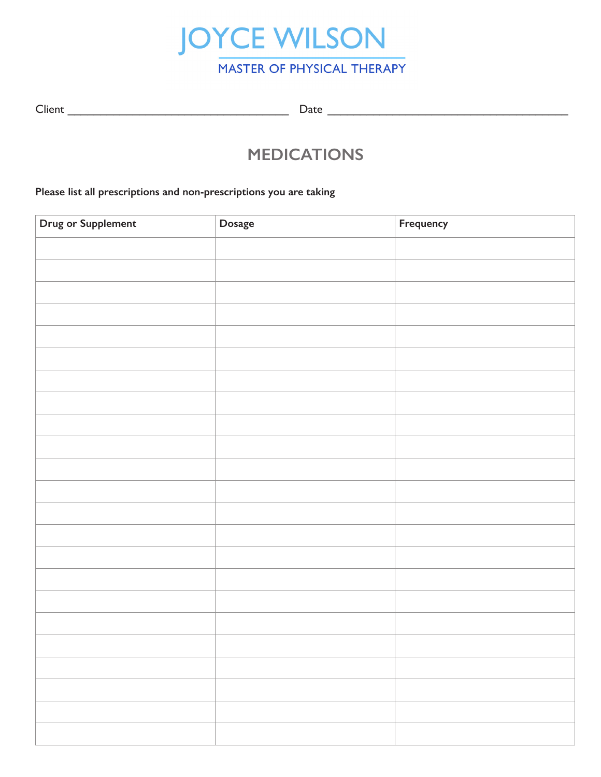

| ×<br>۰, | ٧<br>×<br>I |
|---------|-------------|
|---------|-------------|

Client \_\_\_\_\_\_\_\_\_\_\_\_\_\_\_\_\_\_\_\_\_\_\_\_\_\_\_\_\_\_\_\_\_\_ Date \_\_\_\_\_\_\_\_\_\_\_\_\_\_\_\_\_\_\_\_\_\_\_\_\_\_\_\_\_\_\_\_\_\_\_\_\_

## **MEDICATIONS**

#### **Please list all prescriptions and non-prescriptions you are taking**

| <b>Drug or Supplement</b> | Dosage | Frequency |
|---------------------------|--------|-----------|
|                           |        |           |
|                           |        |           |
|                           |        |           |
|                           |        |           |
|                           |        |           |
|                           |        |           |
|                           |        |           |
|                           |        |           |
|                           |        |           |
|                           |        |           |
|                           |        |           |
|                           |        |           |
|                           |        |           |
|                           |        |           |
|                           |        |           |
|                           |        |           |
|                           |        |           |
|                           |        |           |
|                           |        |           |
|                           |        |           |
|                           |        |           |
|                           |        |           |
|                           |        |           |